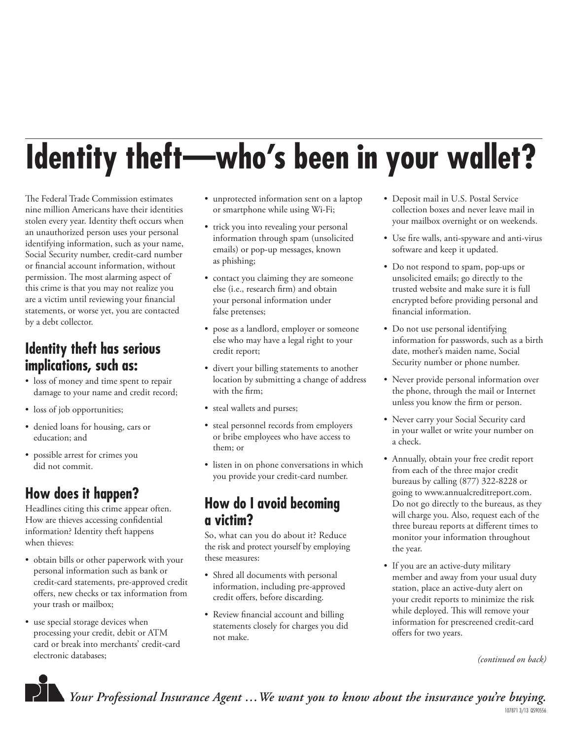# **Identity theft—who's been in your wallet?**

The Federal Trade Commission estimates nine million Americans have their identities stolen every year. Identity theft occurs when an unauthorized person uses your personal identifying information, such as your name, Social Security number, credit-card number or financial account information, without permission. The most alarming aspect of this crime is that you may not realize you are a victim until reviewing your financial statements, or worse yet, you are contacted by a debt collector.

#### **Identity theft has serious implications, such as:**

- loss of money and time spent to repair damage to your name and credit record;
- loss of job opportunities;
- denied loans for housing, cars or education; and
- possible arrest for crimes you did not commit.

## **How does it happen?**

Headlines citing this crime appear often. How are thieves accessing confidential information? Identity theft happens when thieves:

- obtain bills or other paperwork with your personal information such as bank or credit-card statements, pre-approved credit offers, new checks or tax information from your trash or mailbox;
- use special storage devices when processing your credit, debit or ATM card or break into merchants' credit-card electronic databases;
- unprotected information sent on a laptop or smartphone while using Wi-Fi;
- trick you into revealing your personal information through spam (unsolicited emails) or pop-up messages, known as phishing;
- contact you claiming they are someone else (i.e., research firm) and obtain your personal information under false pretenses;
- pose as a landlord, employer or someone else who may have a legal right to your credit report;
- divert your billing statements to another location by submitting a change of address with the firm;
- steal wallets and purses;
- steal personnel records from employers or bribe employees who have access to them; or
- listen in on phone conversations in which you provide your credit-card number.

### **How do I avoid becoming a victim?**

So, what can you do about it? Reduce the risk and protect yourself by employing these measures:

- Shred all documents with personal information, including pre-approved credit offers, before discarding.
- Review financial account and billing statements closely for charges you did not make.
- Deposit mail in U.S. Postal Service collection boxes and never leave mail in your mailbox overnight or on weekends.
- Use fire walls, anti-spyware and anti-virus software and keep it updated.
- Do not respond to spam, pop-ups or unsolicited emails; go directly to the trusted website and make sure it is full encrypted before providing personal and financial information.
- Do not use personal identifying information for passwords, such as a birth date, mother's maiden name, Social Security number or phone number.
- Never provide personal information over the phone, through the mail or Internet unless you know the firm or person.
- Never carry your Social Security card in your wallet or write your number on a check.
- Annually, obtain your free credit report from each of the three major credit bureaus by calling (877) 322-8228 or going to www.annualcreditreport.com. Do not go directly to the bureaus, as they will charge you. Also, request each of the three bureau reports at different times to monitor your information throughout the year.
- If you are an active-duty military member and away from your usual duty station, place an active-duty alert on your credit reports to minimize the risk while deployed. This will remove your information for prescreened credit-card offers for two years.

*(continued on back)*



*Your Professional Insurance Agent …We want you to know about the insurance you're buying.* 

107871 3/13 QS90556